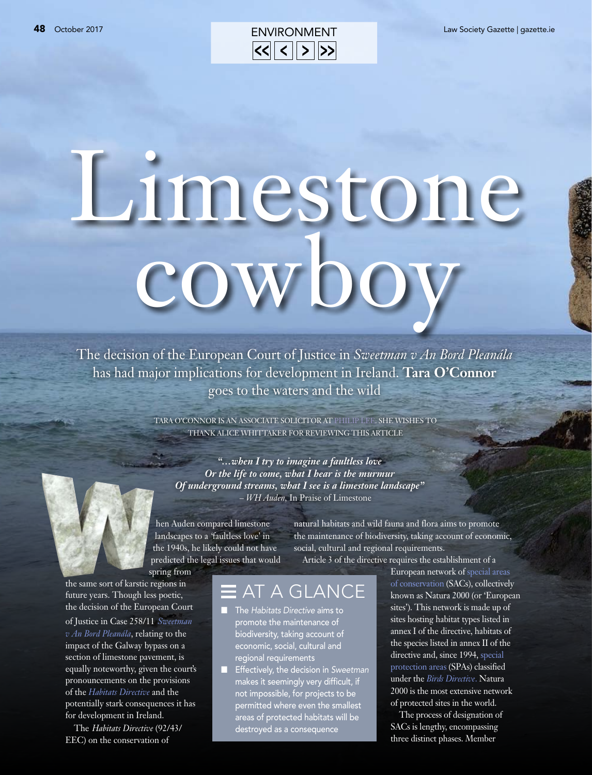

# Limestone cowboy

The decision of the European Court of Justice in *Sweetman v An Bord Pleanála*  has had major implications for development in Ireland. **Tara O'Connor** goes to the waters and the wild

> TARA O'CONNOR IS AN ASSOCIATE SOLICITOR AT PHILIP LEE. SHE WISHES TO THANK ALICE WHITTAKER FOR REVIEWING THIS ARTICLE



*"…when I try to imagine a faultless love Or the life to come, what I hear is the murmur Of underground streams, what I see is a limestone landscape" – WH Auden,* In Praise of Limestone

hen Auden compared limestone landscapes to a *'*faultless love' in the 1940s, he likely could not have predicted the legal issues that would natural habitats and wild fauna and flora aims to promote the maintenance of biodiversity, taking account of economic, social, cultural and regional requirements.

Article 3 of the directive requires the establishment of a

spring from the same sort of karstic regions in future years. Though less poetic, the decision of the European Court

of Justice in Case 258/11 *Sweetman v An Bord Pleanála*, relating to the impact of the Galway bypass on a section of limestone pavement, is equally noteworthy, given the court's pronouncements on the provisions of the *Habitats Directive* and the potentially stark consequences it has for development in Ireland.

The *Habitats Directive* (92/43/ EEC) on the conservation of

## AT A GLANCE

- The *Habitats Directive* aims to promote the maintenance of biodiversity, taking account of economic, social, cultural and regional requirements
- **n** Effectively, the decision in *Sweetman* makes it seemingly very difficult, if not impossible, for projects to be permitted where even the smallest areas of protected habitats will be destroyed as a consequence

European network of special areas of conservation (SACs), collectively known as Natura 2000 (or 'European sites'). This network is made up of sites hosting habitat types listed in annex I of the directive, habitats of the species listed in annex II of the directive and, since 1994, special protection areas (SPAs) classified under the *Birds Directive*. Natura 2000 is the most extensive network of protected sites in the world.

The process of designation of SACs is lengthy, encompassing three distinct phases. Member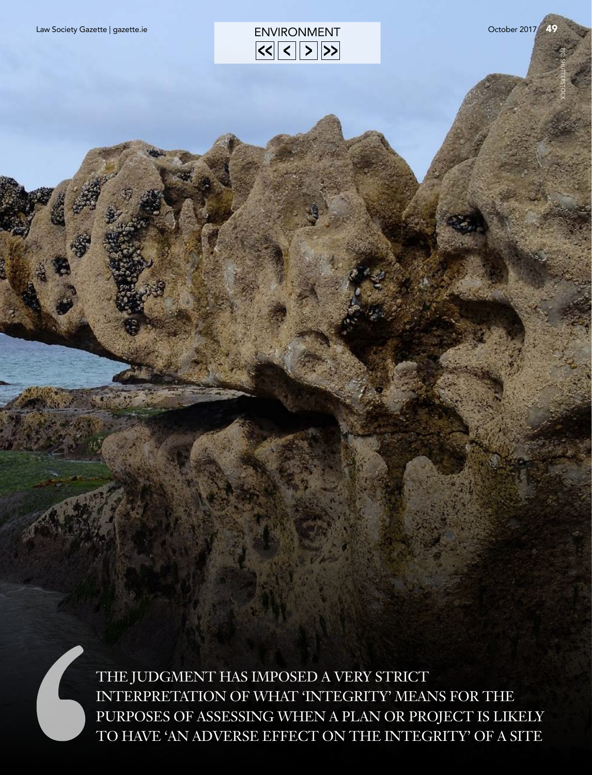

PIC: SHUTTERSTOCK



THE JUDGMENT HAS IMPOSED A VERY STRICT INTERPRETATION OF WHAT 'INTEGRITY' MEANS FOR THE PURPOSES OF ASSESSING WHEN A PLAN OR PROJECT IS LIKELY TO HAVE 'AN ADVERSE EFFECT ON THE INTEGRITY' OF A SITE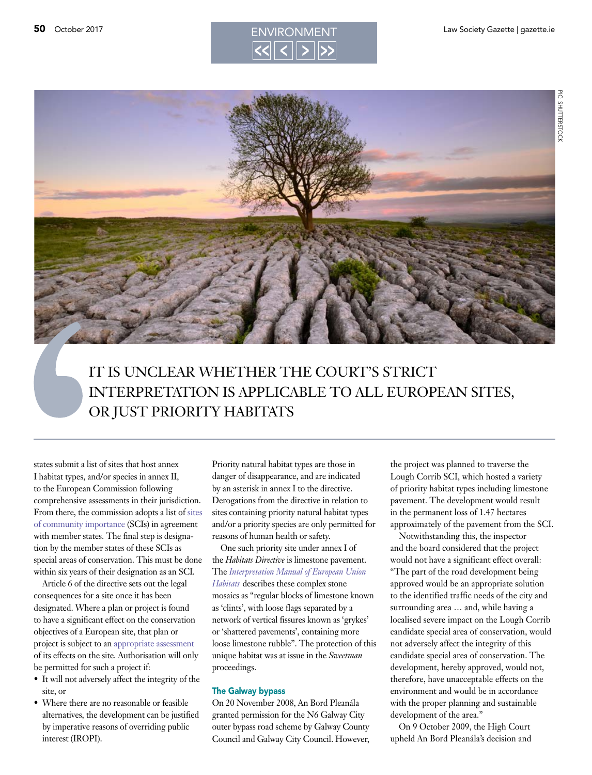



### IT IS UNCLEAR WHETHER THE COURT'S STRICT INTERPRETATION IS APPLICABLE TO ALL EUROPEAN SITES, OR JUST PRIORITY HABITATS

states submit a list of sites that host annex I habitat types, and/or species in annex II, to the European Commission following comprehensive assessments in their jurisdiction. From there, the commission adopts a list of sites of community importance (SCIs) in agreement with member states. The final step is designation by the member states of these SCIs as special areas of conservation. This must be done within six years of their designation as an SCI.

Article 6 of the directive sets out the legal consequences for a site once it has been designated. Where a plan or project is found to have a significant effect on the conservation objectives of a European site, that plan or project is subject to an appropriate assessment of its effects on the site. Authorisation will only be permitted for such a project if:

- It will not adversely affect the integrity of the site, or
- Where there are no reasonable or feasible alternatives, the development can be justified by imperative reasons of overriding public interest (IROPI).

Priority natural habitat types are those in danger of disappearance, and are indicated by an asterisk in annex I to the directive. Derogations from the directive in relation to sites containing priority natural habitat types and/or a priority species are only permitted for reasons of human health or safety.

One such priority site under annex I of the *Habitats Directive* is limestone pavement. The *Interpretation Manual of European Union Habitats* describes these complex stone mosaics as "regular blocks of limestone known as 'clints', with loose flags separated by a network of vertical fissures known as 'grykes' or 'shattered pavements', containing more loose limestone rubble". The protection of this unique habitat was at issue in the *Sweetman* proceedings.

### The Galway bypass

On 20 November 2008, An Bord Pleanála granted permission for the N6 Galway City outer bypass road scheme by Galway County Council and Galway City Council. However,

the project was planned to traverse the Lough Corrib SCI, which hosted a variety of priority habitat types including limestone pavement. The development would result in the permanent loss of 1.47 hectares approximately of the pavement from the SCI.

Notwithstanding this, the inspector and the board considered that the project would not have a significant effect overall: "The part of the road development being approved would be an appropriate solution to the identified traffic needs of the city and surrounding area … and, while having a localised severe impact on the Lough Corrib candidate special area of conservation, would not adversely affect the integrity of this candidate special area of conservation. The development, hereby approved, would not, therefore, have unacceptable effects on the environment and would be in accordance with the proper planning and sustainable development of the area."

On 9 October 2009, the High Court upheld An Bord Pleanála's decision and